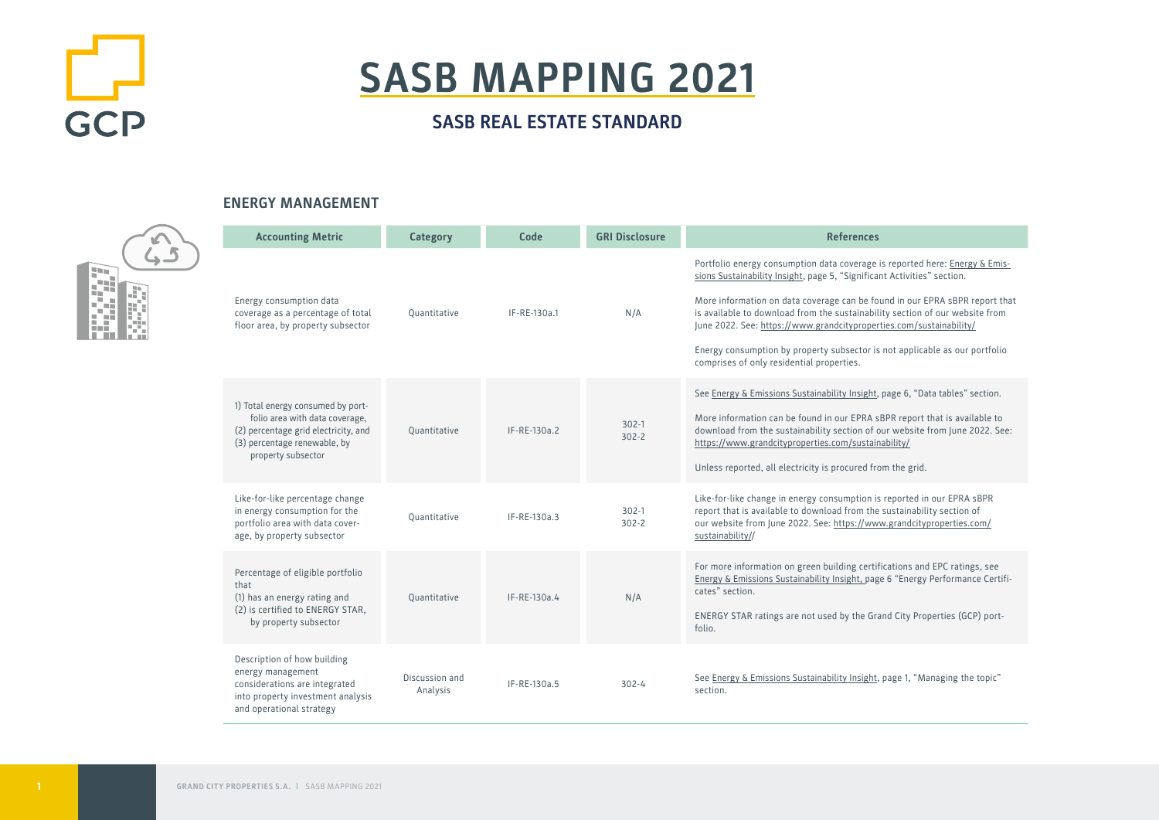

# **SASB MAPPING 2021**

# **SASB REAL ESTATE STANDARD**

### **ENERGY MANAGEMENT**

|  | <b>Accounting Metric</b>                                                                                                                                          | Category                   | Code         | <b>GRI Disclosure</b> | <b>References</b>                                                                                                                                                                                                                                                                                                                                                                                                                                                                                                        |
|--|-------------------------------------------------------------------------------------------------------------------------------------------------------------------|----------------------------|--------------|-----------------------|--------------------------------------------------------------------------------------------------------------------------------------------------------------------------------------------------------------------------------------------------------------------------------------------------------------------------------------------------------------------------------------------------------------------------------------------------------------------------------------------------------------------------|
|  | Energy consumption data<br>coverage as a percentage of total<br>floor area, by property subsector                                                                 | Quantitative               | IF-RE-130a.1 | N/A                   | Portfolio energy consumption data coverage is reported here: Energy & Emis-<br>sions Sustainability Insight, page 5, "Significant Activities" section.<br>More information on data coverage can be found in our EPRA sBPR report that<br>is available to download from the sustainability section of our website from<br>June 2022. See: https://www.grandcityproperties.com/sustainability/<br>Energy consumption by property subsector is not applicable as our portfolio<br>comprises of only residential properties. |
|  | 1) Total energy consumed by port-<br>folio area with data coverage,<br>(2) percentage grid electricity, and<br>(3) percentage renewable, by<br>property subsector | Quantitative               | IF-RE-130a.2 | $302-1$<br>$302 - 2$  | See Energy & Emissions Sustainability Insight, page 6, "Data tables" section.<br>More information can be found in our EPRA sBPR report that is available to<br>download from the sustainability section of our website from June 2022. See:<br>https://www.grandcityproperties.com/sustainability/<br>Unless reported, all electricity is procured from the grid.                                                                                                                                                        |
|  | Like-for-like percentage change<br>in energy consumption for the<br>portfolio area with data cover-<br>age, by property subsector                                 | Quantitative               | IF-RE-130a.3 | $302-1$<br>$302 - 2$  | Like-for-like change in energy consumption is reported in our EPRA sBPR<br>report that is available to download from the sustainability section of<br>our website from June 2022. See: https://www.grandcityproperties.com/<br>sustainability//                                                                                                                                                                                                                                                                          |
|  | Percentage of eligible portfolio<br>that<br>(1) has an energy rating and<br>(2) is certified to ENERGY STAR,<br>by property subsector                             | Quantitative               | IF-RE-130a.4 | N/A                   | For more information on green building certifications and EPC ratings, see<br>Energy & Emissions Sustainability Insight, page 6 "Energy Performance Certifi-<br>cates" section.<br>ENERGY STAR ratings are not used by the Grand City Properties (GCP) port-<br>folio.                                                                                                                                                                                                                                                   |
|  | Description of how building<br>energy management<br>considerations are integrated<br>into property investment analysis<br>and operational strategy                | Discussion and<br>Analysis | IF-RE-130a.5 | $302 - 4$             | See Energy & Emissions Sustainability Insight, page 1, "Managing the topic"<br>section.                                                                                                                                                                                                                                                                                                                                                                                                                                  |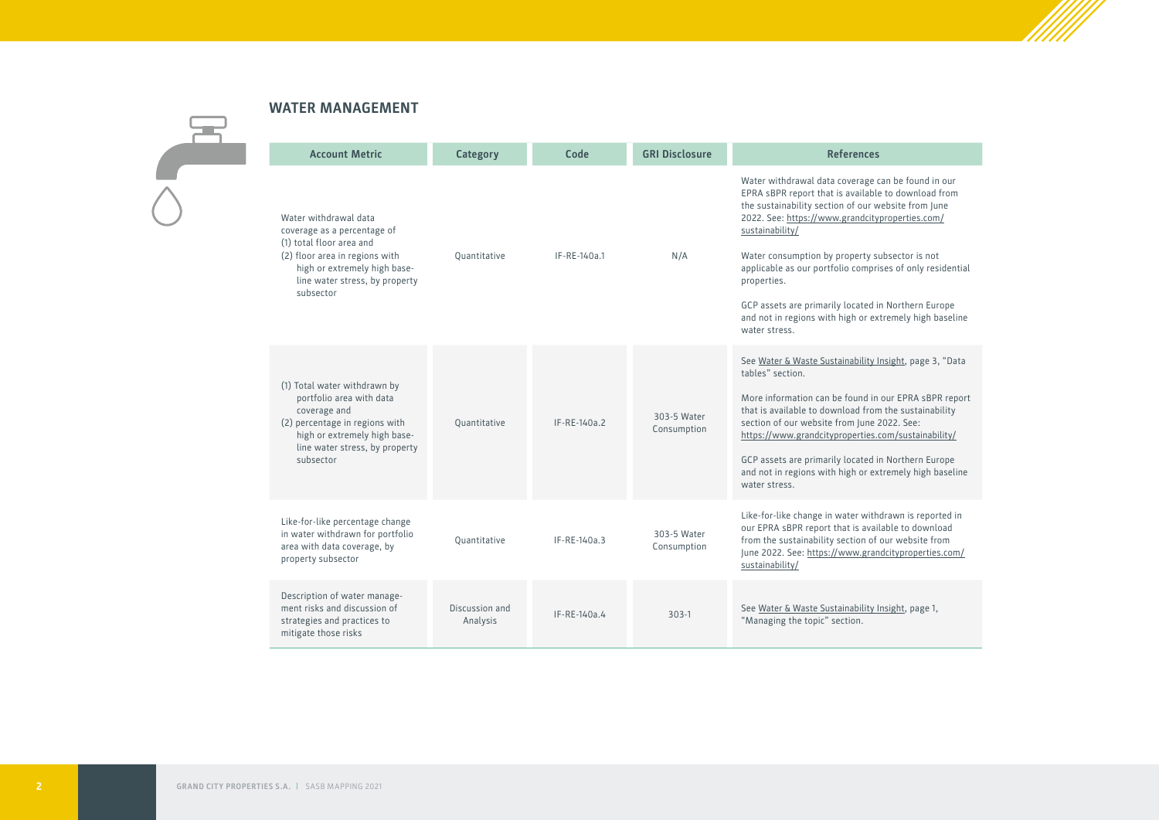

#### **WATER MANAGEMENT**

|  | WAICR MANAGEMENT                                                                                                                                                                                  |                            |                |                            |                                                                                                                                                                                                                                                                                                                                                                                                                                                                                                         |  |  |  |
|--|---------------------------------------------------------------------------------------------------------------------------------------------------------------------------------------------------|----------------------------|----------------|----------------------------|---------------------------------------------------------------------------------------------------------------------------------------------------------------------------------------------------------------------------------------------------------------------------------------------------------------------------------------------------------------------------------------------------------------------------------------------------------------------------------------------------------|--|--|--|
|  | <b>Account Metric</b>                                                                                                                                                                             | Category                   | Code           | <b>GRI Disclosure</b>      | <b>References</b>                                                                                                                                                                                                                                                                                                                                                                                                                                                                                       |  |  |  |
|  | Water withdrawal data<br>coverage as a percentage of<br>(1) total floor area and<br>(2) floor area in regions with<br>high or extremely high base-<br>line water stress, by property<br>subsector | Ouantitative               | IF-RE-140a.1   | N/A                        | Water withdrawal data coverage can be found in our<br>EPRA sBPR report that is available to download from<br>the sustainability section of our website from June<br>2022. See: https://www.grandcityproperties.com/<br>sustainability/<br>Water consumption by property subsector is not<br>applicable as our portfolio comprises of only residential<br>properties.<br>GCP assets are primarily located in Northern Europe<br>and not in regions with high or extremely high baseline<br>water stress. |  |  |  |
|  | (1) Total water withdrawn by<br>portfolio area with data<br>coverage and<br>(2) percentage in regions with<br>high or extremely high base-<br>line water stress, by property<br>subsector         | Quantitative               | IF-RE-140a.2   | 303-5 Water<br>Consumption | See Water & Waste Sustainability Insight, page 3, "Data<br>tables" section.<br>More information can be found in our EPRA sBPR report<br>that is available to download from the sustainability<br>section of our website from June 2022. See:<br>https://www.grandcityproperties.com/sustainability/<br>GCP assets are primarily located in Northern Europe<br>and not in regions with high or extremely high baseline<br>water stress.                                                                  |  |  |  |
|  | Like-for-like percentage change<br>in water withdrawn for portfolio<br>area with data coverage, by<br>property subsector                                                                          | Ouantitative               | IF-RE-140a.3   | 303-5 Water<br>Consumption | Like-for-like change in water withdrawn is reported in<br>our EPRA sBPR report that is available to download<br>from the sustainability section of our website from<br>June 2022. See: https://www.grandcityproperties.com/<br>sustainability/                                                                                                                                                                                                                                                          |  |  |  |
|  | Description of water manage-<br>ment risks and discussion of<br>strategies and practices to<br>mitigate those risks                                                                               | Discussion and<br>Analysis | $IF-RE-140a.4$ | $303-1$                    | See Water & Waste Sustainability Insight, page 1,<br>"Managing the topic" section.                                                                                                                                                                                                                                                                                                                                                                                                                      |  |  |  |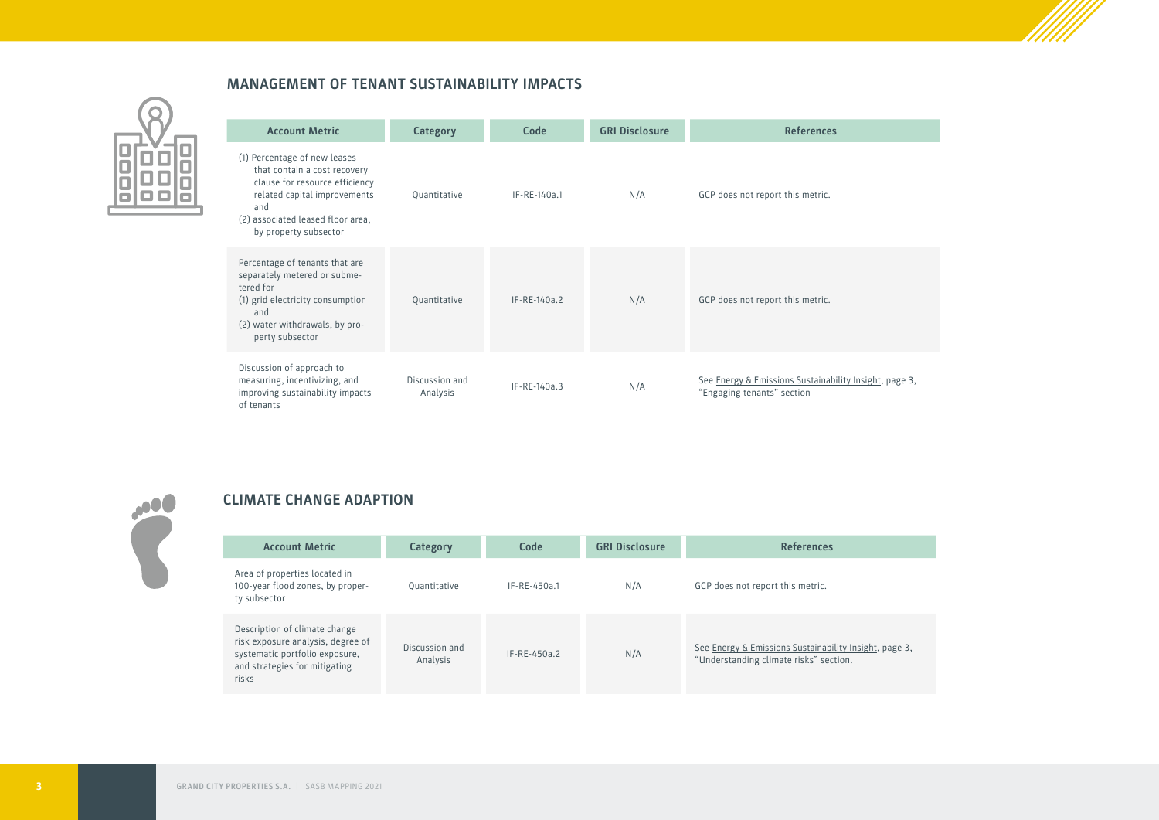

#### **MANAGEMENT OF TENANT SUSTAINABILITY IMPACTS**



.00

r

| <b>Account Metric</b>                                                                                                                                                                               | Category                   | Code         | <b>GRI Disclosure</b> | <b>References</b>                                                                    |
|-----------------------------------------------------------------------------------------------------------------------------------------------------------------------------------------------------|----------------------------|--------------|-----------------------|--------------------------------------------------------------------------------------|
| (1) Percentage of new leases<br>that contain a cost recovery<br>clause for resource efficiency<br>related capital improvements<br>and<br>(2) associated leased floor area,<br>by property subsector | Quantitative               | IF-RE-140a.1 | N/A                   | GCP does not report this metric.                                                     |
| Percentage of tenants that are<br>separately metered or subme-<br>tered for<br>(1) grid electricity consumption<br>and<br>(2) water withdrawals, by pro-<br>perty subsector                         | Quantitative               | IF-RE-140a.2 | N/A                   | GCP does not report this metric.                                                     |
| Discussion of approach to<br>measuring, incentivizing, and<br>improving sustainability impacts<br>of tenants                                                                                        | Discussion and<br>Analysis | IF-RE-140a.3 | N/A                   | See Energy & Emissions Sustainability Insight, page 3,<br>"Engaging tenants" section |

## **CLIMATE CHANGE ADAPTION**

| <b>Account Metric</b>                                                                                                                          | Category                   | Code           | <b>GRI Disclosure</b> | <b>References</b>                                                                                |
|------------------------------------------------------------------------------------------------------------------------------------------------|----------------------------|----------------|-----------------------|--------------------------------------------------------------------------------------------------|
| Area of properties located in<br>100-year flood zones, by proper-<br>ty subsector                                                              | Ouantitative               | $IF-RE-450a.1$ | N/A                   | GCP does not report this metric.                                                                 |
| Description of climate change<br>risk exposure analysis, degree of<br>systematic portfolio exposure,<br>and strategies for mitigating<br>risks | Discussion and<br>Analysis | IF-RE-450a.2   | N/A                   | See Energy & Emissions Sustainability Insight, page 3,<br>"Understanding climate risks" section. |